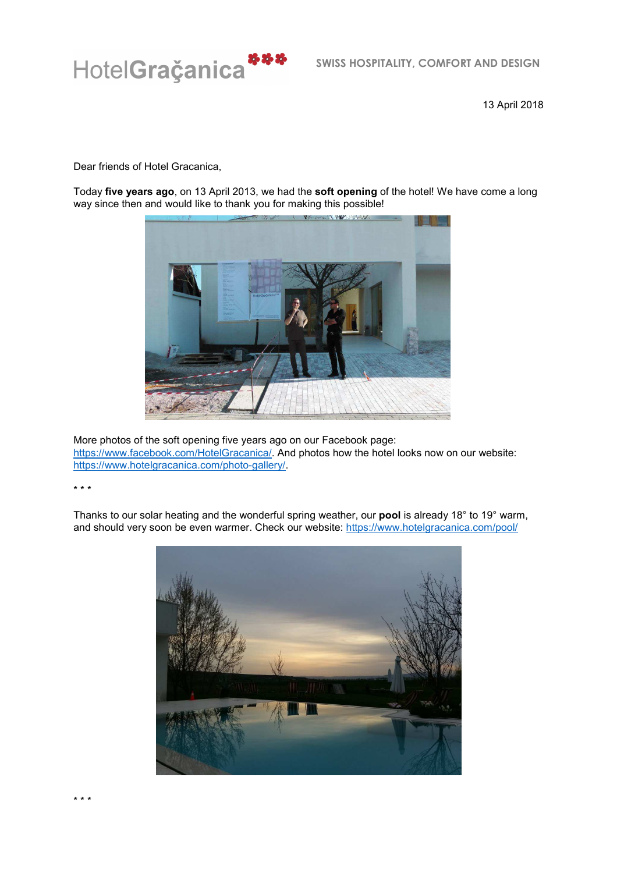

13 April 2018

Dear friends of Hotel Gracanica,

Today **five years ago**, on 13 April 2013, we had the **soft opening** of the hotel! We have come a long way since then and would like to thank you for making this possible!



More photos of the soft opening five years ago on our Facebook page: https://www.facebook.com/HotelGracanica/. And photos how the hotel looks now on our website: https://www.hotelgracanica.com/photo-gallery/.

\* \* \*

Thanks to our solar heating and the wonderful spring weather, our **pool** is already 18° to 19° warm, and should very soon be even warmer. Check our website: https://www.hotelgracanica.com/pool/



\* \* \*